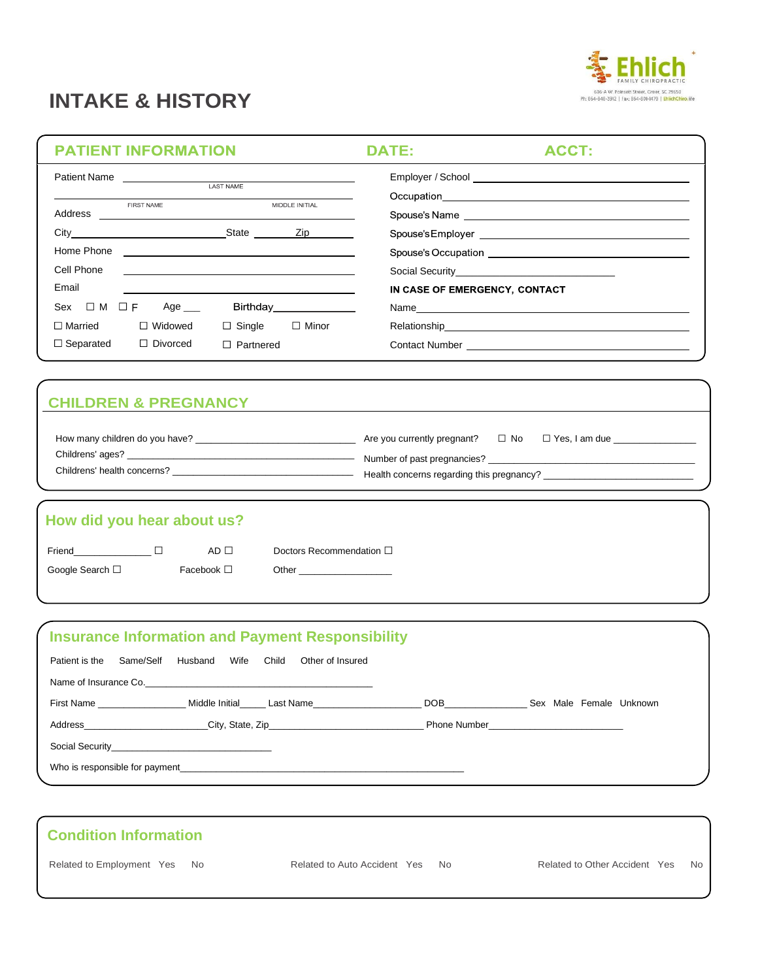# **INTAKE & HISTORY**



### **PATIENT INFORMATION**

**DATE:** 

ACCT:

|                       |                                                                                                                                     | <b>LAST NAME</b> |                        |                               |
|-----------------------|-------------------------------------------------------------------------------------------------------------------------------------|------------------|------------------------|-------------------------------|
| Address               | FIRST NAME<br><u> 1980 - Johann Barn, mars ann an t-Amhainn an t-Amhainn an t-Amhainn an t-Amhainn an t-Amhainn an t-Amhainn an</u> |                  | MIDDLE INITIAL         |                               |
|                       |                                                                                                                                     |                  |                        |                               |
| Home Phone            | <u> 1989 - Andrea Stadt Britain, amerikansk politiker (</u>                                                                         |                  |                        |                               |
| Cell Phone            | <u> 1989 - Andrea Stadt Britain, amerikansk politik (</u>                                                                           |                  |                        |                               |
| Email                 |                                                                                                                                     |                  |                        | IN CASE OF EMERGENCY, CONTACT |
| Sex $\Box$ M $\Box$ F | Age ___                                                                                                                             |                  | Birthday______________ |                               |
| $\Box$ Married        | $\Box$ Widowed                                                                                                                      | $\Box$ Single    | $\Box$ Minor           |                               |
| $\Box$ Separated      | $\Box$ Divorced                                                                                                                     | $\Box$ Partnered |                        |                               |
|                       |                                                                                                                                     |                  |                        |                               |

## **CHILDREN & PREGNANCY**

| How many children do you have?                  | Are you currently pregnant?                                              | $\Box$ No | $\Box$ Yes, I am due |
|-------------------------------------------------|--------------------------------------------------------------------------|-----------|----------------------|
| Childrens' ages?<br>Childrens' health concerns? | Number of past pregnancies?<br>Health concerns regarding this pregnancy? |           |                      |

# **How did you hear about us?**

 $\overline{\phantom{a}}$ 

١

| Friend          | AD I I          | Doctors Recommendation $\square$ |
|-----------------|-----------------|----------------------------------|
| Google Search □ | Facebook $\Box$ | Other                            |

| <b>Insurance Information and Payment Responsibility</b>                          |                                               |                                |  |
|----------------------------------------------------------------------------------|-----------------------------------------------|--------------------------------|--|
| Patient is the                                                                   | Same/Self Husband Wife Child Other of Insured |                                |  |
|                                                                                  |                                               |                                |  |
| First Name <b>Solution Contract Middle Initial</b> Last Name                     |                                               | DOB Sex Male Female Unknown    |  |
| Address_____________________________City, State, Zip____________________________ |                                               | <b>Phone Number Example 20</b> |  |
| Social Security <b>Example 20</b> Social Security                                |                                               |                                |  |
|                                                                                  |                                               |                                |  |

| <b>Condition Information</b> |                                 |                                      |
|------------------------------|---------------------------------|--------------------------------------|
| Related to Employment Yes No | Related to Auto Accident Yes No | Related to Other Accident Yes<br>No. |
|                              |                                 |                                      |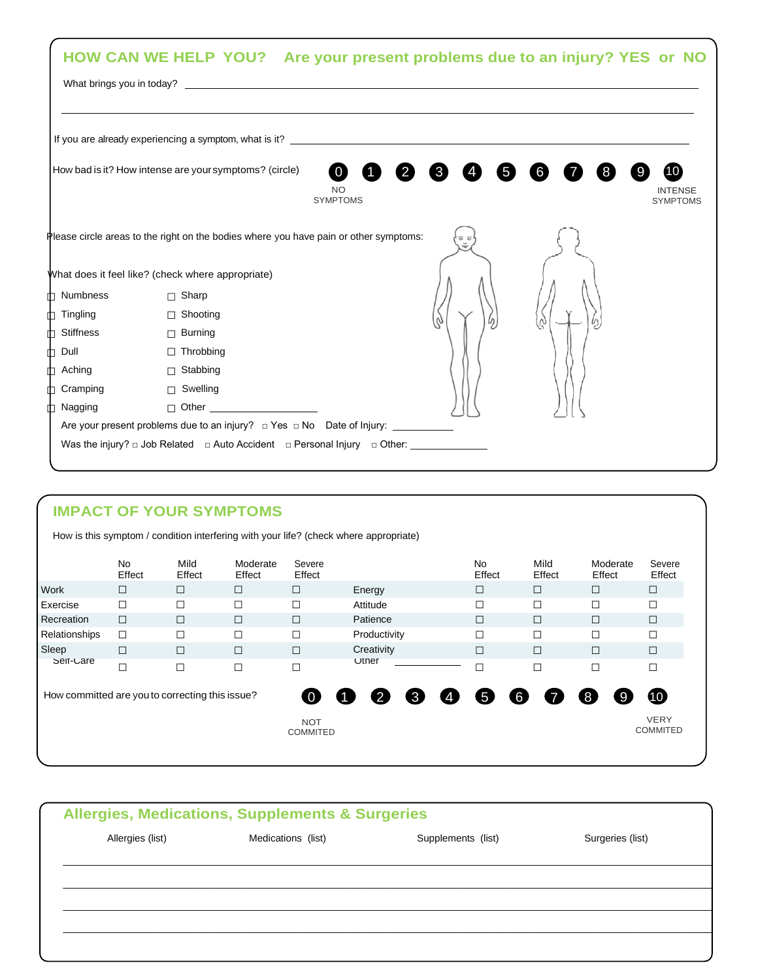|                      | HOW CAN WE HELP YOU? Are your present problems due to an injury? YES or NO                   |                                           |              |              |   |   |  |                                   |
|----------------------|----------------------------------------------------------------------------------------------|-------------------------------------------|--------------|--------------|---|---|--|-----------------------------------|
|                      | If you are already experiencing a symptom, what is it? __________________________            |                                           |              |              |   |   |  |                                   |
|                      | How bad is it? How intense are your symptoms? (circle)                                       | $\bullet$<br><b>NO</b><br><b>SYMPTOMS</b> | $\mathbf{2}$ | $\mathbf{3}$ | 5 | 6 |  | <b>INTENSE</b><br><b>SYMPTOMS</b> |
|                      | Please circle areas to the right on the bodies where you have pain or other symptoms:        |                                           |              |              |   |   |  |                                   |
|                      | What does it feel like? (check where appropriate)                                            |                                           |              |              |   |   |  |                                   |
| <b>D</b> Numbness    | $\Box$ Sharp                                                                                 |                                           |              |              |   |   |  |                                   |
| <b>↑ Tingling</b>    | □ Shooting                                                                                   |                                           |              |              |   |   |  |                                   |
| $\uparrow$ Stiffness | $\Box$ Burning                                                                               |                                           |              |              |   |   |  |                                   |
| $\mathbb{D}$ Dull    | $\Box$ Throbbing                                                                             |                                           |              |              |   |   |  |                                   |
| <b>D</b> Aching      | □ Stabbing                                                                                   |                                           |              |              |   |   |  |                                   |
| <b>↑ Cramping</b>    | □ Swelling                                                                                   |                                           |              |              |   |   |  |                                   |
| th Nagging           | D Other ____________________                                                                 |                                           |              |              |   |   |  |                                   |
|                      |                                                                                              |                                           |              |              |   |   |  |                                   |
|                      | Was the injury? $\Box$ Job Related $\Box$ Auto Accident $\Box$ Personal Injury $\Box$ Other: |                                           |              |              |   |   |  |                                   |

# **IMPACT OF YOUR SYMPTOMS**

How is this symptom / condition interfering with your life? (check where appropriate)

|                                                 | <b>No</b><br>Effect | Mild<br>Effect | Moderate<br>Effect | Severe<br>Effect              |                                            | No<br>Effect | Mild<br>Effect | Moderate<br>Effect | Severe<br>Effect               |
|-------------------------------------------------|---------------------|----------------|--------------------|-------------------------------|--------------------------------------------|--------------|----------------|--------------------|--------------------------------|
| <b>Work</b>                                     | $\Box$              | □              | $\Box$             | □                             | Energy                                     | $\Box$       | $\Box$         | $\Box$             | $\Box$                         |
| l Exercise                                      |                     |                |                    | Г                             | Attitude                                   | П            | $\Box$         | П                  | П                              |
| Recreation                                      | $\Box$              |                | $\Box$             | $\Box$                        | Patience                                   | $\Box$       | $\Box$         | $\Box$             | $\Box$                         |
| Relationships                                   | $\Box$              |                | □                  | □                             | Productivity                               | $\Box$       | $\Box$         | $\Box$             | П                              |
| Sleep                                           | Г                   | $\Box$         | $\Box$             | $\Box$                        | Creativity                                 | $\Box$       | $\Box$         | $\Box$             | $\Box$                         |
| Self-Care                                       | $\Box$              | □              |                    | $\Box$                        | Uther                                      | $\Box$       | $\Box$         | $\Box$             | П                              |
| How committed are you to correcting this issue? |                     |                |                    | $\bullet$                     | 8<br>$\boldsymbol{\Phi}$<br>$\overline{2}$ | 6<br>6       | $\overline{7}$ | 8<br>9             | $\bf \Phi$                     |
|                                                 |                     |                |                    | <b>NOT</b><br><b>COMMITED</b> |                                            |              |                |                    | <b>VERY</b><br><b>COMMITED</b> |

| <b>Allergies, Medications, Supplements &amp; Surgeries</b> |                    |                    |                  |  |  |
|------------------------------------------------------------|--------------------|--------------------|------------------|--|--|
| Allergies (list)                                           | Medications (list) | Supplements (list) | Surgeries (list) |  |  |
|                                                            |                    |                    |                  |  |  |
|                                                            |                    |                    |                  |  |  |
|                                                            |                    |                    |                  |  |  |
|                                                            |                    |                    |                  |  |  |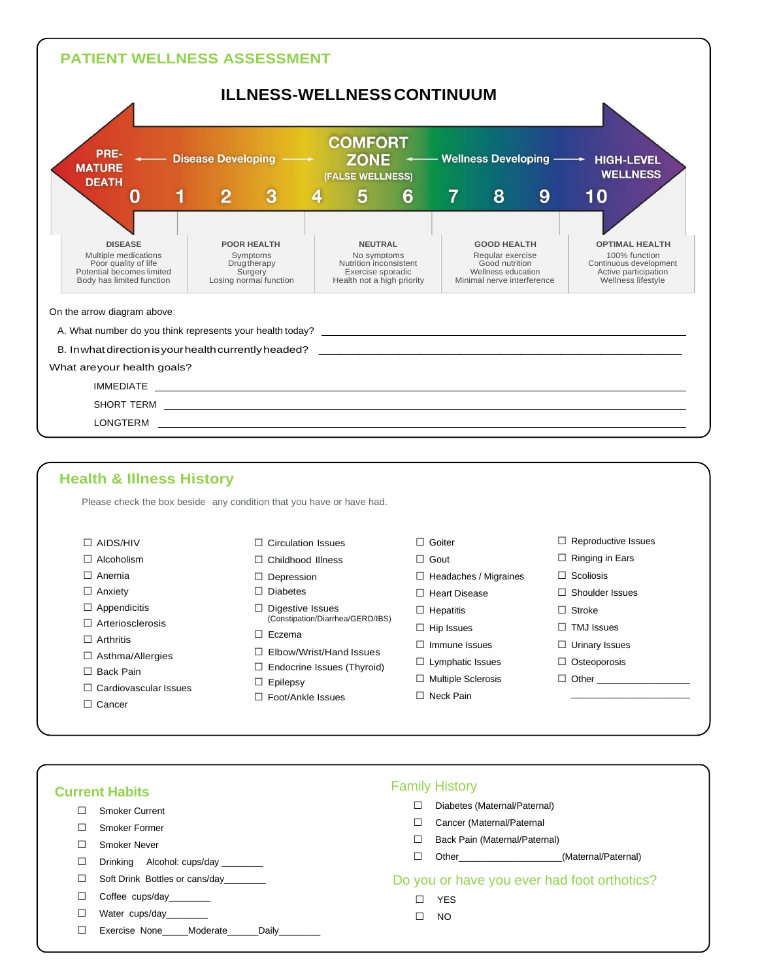

|                         | Please check the box beside any condition that you have or have had. |                              |                            |
|-------------------------|----------------------------------------------------------------------|------------------------------|----------------------------|
| $\Box$ AIDS/HIV         | $\Box$ Circulation Issues                                            | $\Box$ Goiter                | $\Box$ Reproductive Issues |
| $\Box$ Alcoholism       | $\Box$ Childhood Illness                                             | $\Box$ Gout                  | $\Box$ Ringing in Ears     |
| $\Box$ Anemia           | $\Box$ Depression                                                    | $\Box$ Headaches / Migraines | $\Box$ Scoliosis           |
| $\Box$ Anxiety          | $\Box$ Diabetes                                                      | $\Box$ Heart Disease         | $\Box$ Shoulder Issues     |
| $\Box$ Appendicitis     | $\Box$ Digestive Issues                                              | $\Box$ Hepatitis             | $\Box$ Stroke              |
| Arteriosclerosis        | (Constipation/Diarrhea/GERD/IBS)                                     | $\Box$ Hip Issues            | $\Box$ TMJ Issues          |
| $\Box$ Arthritis        | $\Box$ Eczema                                                        | $\Box$ Immune Issues         | $\Box$ Urinary Issues      |
| $\Box$ Asthma/Allergies | $\Box$ Elbow/Wrist/Hand Issues                                       | $\Box$ Lymphatic Issues      | $\Box$ Osteoporosis        |
| $\Box$ Back Pain        | $\Box$ Endocrine Issues (Thyroid)                                    | $\Box$ Multiple Sclerosis    | $\Box$ Other               |
| Cardiovascular Issues   | $\Box$ Epilepsy                                                      |                              |                            |
| $\Box$ Cancer           | $\Box$ Foot/Ankle Issues                                             | $\Box$ Neck Pain             |                            |

| <b>Current Habits</b>           | <b>Family History</b>                                                                                                                                                                                                                                     |
|---------------------------------|-----------------------------------------------------------------------------------------------------------------------------------------------------------------------------------------------------------------------------------------------------------|
| <b>Smoker Current</b>           | Diabetes (Maternal/Paternal)                                                                                                                                                                                                                              |
| Smoker Former                   | Cancer (Maternal/Paternal                                                                                                                                                                                                                                 |
| Smoker Never                    | Back Pain (Maternal/Paternal)                                                                                                                                                                                                                             |
| Drinking Alcohol: cups/day      | Other and the contract of the contract of the contract of the contract of the contract of the contract of the contract of the contract of the contract of the contract of the contract of the contract of the contract of the<br>(Maternal/Paternal)<br>⊔ |
| Soft Drink Bottles or cans/day  | Do you or have you ever had foot orthotics?                                                                                                                                                                                                               |
| Coffee cups/day________         | <b>YES</b>                                                                                                                                                                                                                                                |
| Water cups/day________          | NO                                                                                                                                                                                                                                                        |
| Exercise None Moderate<br>Daily |                                                                                                                                                                                                                                                           |